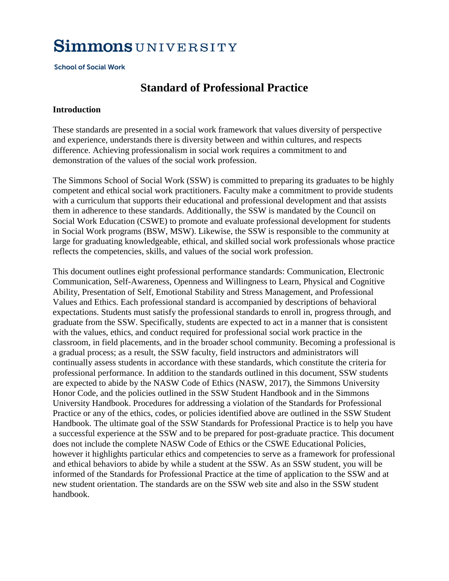# **Simmons UNIVERSITY**

**School of Social Work** 

# **Standard of Professional Practice**

#### **Introduction**

These standards are presented in a social work framework that values diversity of perspective and experience, understands there is diversity between and within cultures, and respects difference. Achieving professionalism in social work requires a commitment to and demonstration of the values of the social work profession.

The Simmons School of Social Work (SSW) is committed to preparing its graduates to be highly competent and ethical social work practitioners. Faculty make a commitment to provide students with a curriculum that supports their educational and professional development and that assists them in adherence to these standards. Additionally, the SSW is mandated by the Council on Social Work Education (CSWE) to promote and evaluate professional development for students in Social Work programs (BSW, MSW). Likewise, the SSW is responsible to the community at large for graduating knowledgeable, ethical, and skilled social work professionals whose practice reflects the competencies, skills, and values of the social work profession.

This document outlines eight professional performance standards: Communication, Electronic Communication, Self-Awareness, Openness and Willingness to Learn, Physical and Cognitive Ability, Presentation of Self, Emotional Stability and Stress Management, and Professional Values and Ethics. Each professional standard is accompanied by descriptions of behavioral expectations. Students must satisfy the professional standards to enroll in, progress through, and graduate from the SSW. Specifically, students are expected to act in a manner that is consistent with the values, ethics, and conduct required for professional social work practice in the classroom, in field placements, and in the broader school community. Becoming a professional is a gradual process; as a result, the SSW faculty, field instructors and administrators will continually assess students in accordance with these standards, which constitute the criteria for professional performance. In addition to the standards outlined in this document, SSW students are expected to abide by the NASW Code of Ethics (NASW, 2017), the Simmons University Honor Code, and the policies outlined in the SSW Student Handbook and in the Simmons University Handbook. Procedures for addressing a violation of the Standards for Professional Practice or any of the ethics, codes, or policies identified above are outlined in the SSW Student Handbook. The ultimate goal of the SSW Standards for Professional Practice is to help you have a successful experience at the SSW and to be prepared for post-graduate practice. This document does not include the complete NASW Code of Ethics or the CSWE Educational Policies, however it highlights particular ethics and competencies to serve as a framework for professional and ethical behaviors to abide by while a student at the SSW. As an SSW student, you will be informed of the Standards for Professional Practice at the time of application to the SSW and at new student orientation. The standards are on the SSW web site and also in the SSW student handbook.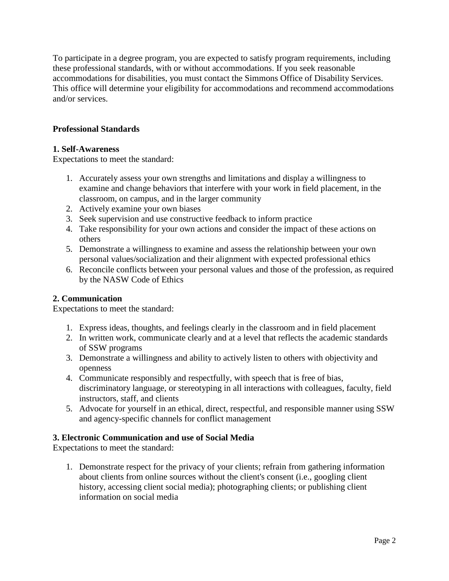To participate in a degree program, you are expected to satisfy program requirements, including these professional standards, with or without accommodations. If you seek reasonable accommodations for disabilities, you must contact the Simmons Office of Disability Services. This office will determine your eligibility for accommodations and recommend accommodations and/or services.

## **Professional Standards**

### **1. Self-Awareness**

Expectations to meet the standard:

- 1. Accurately assess your own strengths and limitations and display a willingness to examine and change behaviors that interfere with your work in field placement, in the classroom, on campus, and in the larger community
- 2. Actively examine your own biases
- 3. Seek supervision and use constructive feedback to inform practice
- 4. Take responsibility for your own actions and consider the impact of these actions on others
- 5. Demonstrate a willingness to examine and assess the relationship between your own personal values/socialization and their alignment with expected professional ethics
- 6. Reconcile conflicts between your personal values and those of the profession, as required by the NASW Code of Ethics

# **2. Communication**

Expectations to meet the standard:

- 1. Express ideas, thoughts, and feelings clearly in the classroom and in field placement
- 2. In written work, communicate clearly and at a level that reflects the academic standards of SSW programs
- 3. Demonstrate a willingness and ability to actively listen to others with objectivity and openness
- 4. Communicate responsibly and respectfully, with speech that is free of bias, discriminatory language, or stereotyping in all interactions with colleagues, faculty, field instructors, staff, and clients
- 5. Advocate for yourself in an ethical, direct, respectful, and responsible manner using SSW and agency-specific channels for conflict management

#### **3. Electronic Communication and use of Social Media**

Expectations to meet the standard:

1. Demonstrate respect for the privacy of your clients; refrain from gathering information about clients from online sources without the client's consent (i.e., googling client history, accessing client social media); photographing clients; or publishing client information on social media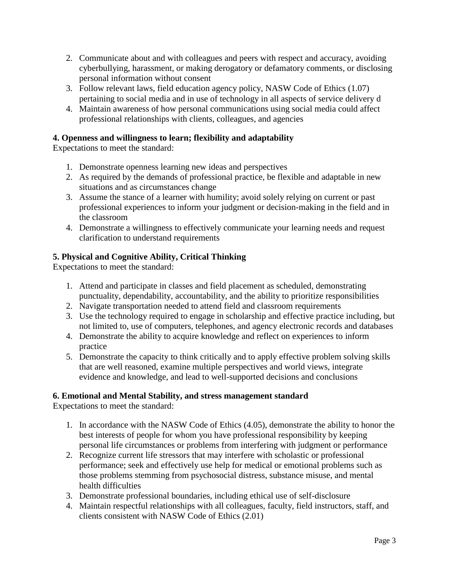- 2. Communicate about and with colleagues and peers with respect and accuracy, avoiding cyberbullying, harassment, or making derogatory or defamatory comments, or disclosing personal information without consent
- 3. Follow relevant laws, field education agency policy, NASW Code of Ethics (1.07) pertaining to social media and in use of technology in all aspects of service delivery d
- 4. Maintain awareness of how personal communications using social media could affect professional relationships with clients, colleagues, and agencies

# **4. Openness and willingness to learn; flexibility and adaptability**

Expectations to meet the standard:

- 1. Demonstrate openness learning new ideas and perspectives
- 2. As required by the demands of professional practice, be flexible and adaptable in new situations and as circumstances change
- 3. Assume the stance of a learner with humility; avoid solely relying on current or past professional experiences to inform your judgment or decision-making in the field and in the classroom
- 4. Demonstrate a willingness to effectively communicate your learning needs and request clarification to understand requirements

# **5. Physical and Cognitive Ability, Critical Thinking**

Expectations to meet the standard:

- 1. Attend and participate in classes and field placement as scheduled, demonstrating punctuality, dependability, accountability, and the ability to prioritize responsibilities
- 2. Navigate transportation needed to attend field and classroom requirements
- 3. Use the technology required to engage in scholarship and effective practice including, but not limited to, use of computers, telephones, and agency electronic records and databases
- 4. Demonstrate the ability to acquire knowledge and reflect on experiences to inform practice
- 5. Demonstrate the capacity to think critically and to apply effective problem solving skills that are well reasoned, examine multiple perspectives and world views, integrate evidence and knowledge, and lead to well-supported decisions and conclusions

# **6. Emotional and Mental Stability, and stress management standard**

Expectations to meet the standard:

- 1. In accordance with the NASW Code of Ethics (4.05), demonstrate the ability to honor the best interests of people for whom you have professional responsibility by keeping personal life circumstances or problems from interfering with judgment or performance
- 2. Recognize current life stressors that may interfere with scholastic or professional performance; seek and effectively use help for medical or emotional problems such as those problems stemming from psychosocial distress, substance misuse, and mental health difficulties
- 3. Demonstrate professional boundaries, including ethical use of self-disclosure
- 4. Maintain respectful relationships with all colleagues, faculty, field instructors, staff, and clients consistent with NASW Code of Ethics (2.01)